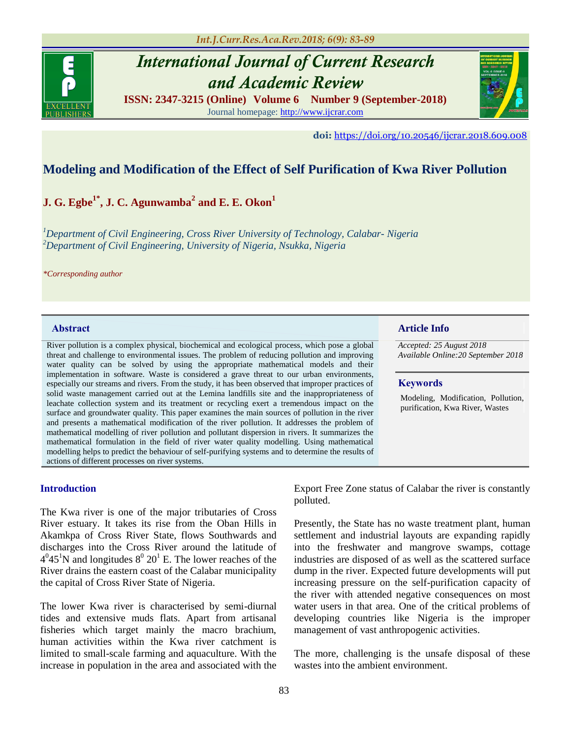*Int.J.Curr.Res.Aca.Rev.2018; 6(9): 83-89*



# *International Journal of Current Research and Academic Review*

**ISSN: 2347-3215 (Online)****Volume 6****Number 9 (September-2018)** Journal homepage[: http://www.ijcrar.com](http://www.ijcrar.com/)



 **doi:** <https://doi.org/10.20546/ijcrar.2018.609.008>

# **Modeling and Modification of the Effect of Self Purification of Kwa River Pollution**

# **J. G. Egbe1\* , J. C. Agunwamba<sup>2</sup> and E. E. Okon<sup>1</sup>**

*<sup>1</sup>Department of Civil Engineering, Cross River University of Technology, Calabar- Nigeria <sup>2</sup>Department of Civil Engineering, University of Nigeria, Nsukka, Nigeria*

*\*Corresponding author*

River pollution is a complex physical, biochemical and ecological process, which pose a global threat and challenge to environmental issues. The problem of reducing pollution and improving water quality can be solved by using the appropriate mathematical models and their implementation in software. Waste is considered a grave threat to our urban environments, especially our streams and rivers. From the study, it has been observed that improper practices of solid waste management carried out at the Lemina landfills site and the inappropriateness of leachate collection system and its treatment or recycling exert a tremendous impact on the surface and groundwater quality. This paper examines the main sources of pollution in the river and presents a mathematical modification of the river pollution. It addresses the problem of mathematical modelling of river pollution and pollutant dispersion in rivers. It summarizes the mathematical formulation in the field of river water quality modelling. Using mathematical modelling helps to predict the behaviour of self-purifying systems and to determine the results of actions of different processes on river systems.

#### **Introduction**

The Kwa river is one of the major tributaries of Cross River estuary. It takes its rise from the Oban Hills in Akamkpa of Cross River State, flows Southwards and discharges into the Cross River around the latitude of  $4^0 45^1$ N and longitudes  $8^0 20^1$  E. The lower reaches of the River drains the eastern coast of the Calabar municipality the capital of Cross River State of Nigeria.

The lower Kwa river is characterised by semi-diurnal tides and extensive muds flats. Apart from artisanal fisheries which target mainly the macro brachium, human activities within the Kwa river catchment is limited to small-scale farming and aquaculture. With the increase in population in the area and associated with the

**Abstract Article Info**

*Accepted: 25 August 2018 Available Online:20 September 2018*

#### **Keywords**

Modeling, Modification, Pollution, purification, Kwa River, Wastes

Export Free Zone status of Calabar the river is constantly polluted.

Presently, the State has no waste treatment plant, human settlement and industrial layouts are expanding rapidly into the freshwater and mangrove swamps, cottage industries are disposed of as well as the scattered surface dump in the river. Expected future developments will put increasing pressure on the self-purification capacity of the river with attended negative consequences on most water users in that area. One of the critical problems of developing countries like Nigeria is the improper management of vast anthropogenic activities.

The more, challenging is the unsafe disposal of these wastes into the ambient environment.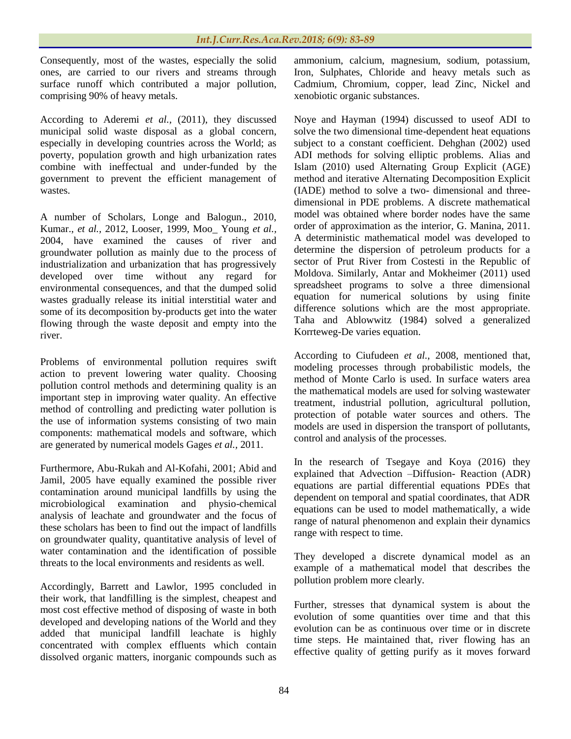Consequently, most of the wastes, especially the solid ones, are carried to our rivers and streams through surface runoff which contributed a major pollution, comprising 90% of heavy metals.

According to Aderemi *et al.,* (2011), they discussed municipal solid waste disposal as a global concern, especially in developing countries across the World; as poverty, population growth and high urbanization rates combine with ineffectual and under-funded by the government to prevent the efficient management of wastes.

A number of Scholars, Longe and Balogun., 2010, Kumar., *et al.,* 2012, Looser, 1999, Moo\_ Young *et al.,* 2004, have examined the causes of river and groundwater pollution as mainly due to the process of industrialization and urbanization that has progressively developed over time without any regard for environmental consequences, and that the dumped solid wastes gradually release its initial interstitial water and some of its decomposition by-products get into the water flowing through the waste deposit and empty into the river.

Problems of environmental pollution requires swift action to prevent lowering water quality. Choosing pollution control methods and determining quality is an important step in improving water quality. An effective method of controlling and predicting water pollution is the use of information systems consisting of two main components: mathematical models and software, which are generated by numerical models Gages *et al.,* 2011.

Furthermore, Abu-Rukah and Al-Kofahi, 2001; Abid and Jamil, 2005 have equally examined the possible river contamination around municipal landfills by using the microbiological examination and physio-chemical analysis of leachate and groundwater and the focus of these scholars has been to find out the impact of landfills on groundwater quality, quantitative analysis of level of water contamination and the identification of possible threats to the local environments and residents as well.

Accordingly, Barrett and Lawlor, 1995 concluded in their work, that landfilling is the simplest, cheapest and most cost effective method of disposing of waste in both developed and developing nations of the World and they added that municipal landfill leachate is highly concentrated with complex effluents which contain dissolved organic matters, inorganic compounds such as

ammonium, calcium, magnesium, sodium, potassium, Iron, Sulphates, Chloride and heavy metals such as Cadmium, Chromium, copper, lead Zinc, Nickel and xenobiotic organic substances.

Noye and Hayman (1994) discussed to useof ADI to solve the two dimensional time-dependent heat equations subject to a constant coefficient. Dehghan (2002) used ADI methods for solving elliptic problems. Alias and Islam (2010) used Alternating Group Explicit (AGE) method and iterative Alternating Decomposition Explicit (IADE) method to solve a two- dimensional and threedimensional in PDE problems. A discrete mathematical model was obtained where border nodes have the same order of approximation as the interior, G. Manina, 2011. A deterministic mathematical model was developed to determine the dispersion of petroleum products for a sector of Prut River from Costesti in the Republic of Moldova. Similarly, Antar and Mokheimer (2011) used spreadsheet programs to solve a three dimensional equation for numerical solutions by using finite difference solutions which are the most appropriate. Taha and Ablowwitz (1984) solved a generalized Korrteweg-De varies equation.

According to Ciufudeen *et al.,* 2008, mentioned that, modeling processes through probabilistic models, the method of Monte Carlo is used. In surface waters area the mathematical models are used for solving wastewater treatment, industrial pollution, agricultural pollution, protection of potable water sources and others. The models are used in dispersion the transport of pollutants, control and analysis of the processes.

In the research of Tsegaye and Koya (2016) they explained that Advection –Diffusion- Reaction (ADR) equations are partial differential equations PDEs that dependent on temporal and spatial coordinates, that ADR equations can be used to model mathematically, a wide range of natural phenomenon and explain their dynamics range with respect to time.

They developed a discrete dynamical model as an example of a mathematical model that describes the pollution problem more clearly.

Further, stresses that dynamical system is about the evolution of some quantities over time and that this evolution can be as continuous over time or in discrete time steps. He maintained that, river flowing has an effective quality of getting purify as it moves forward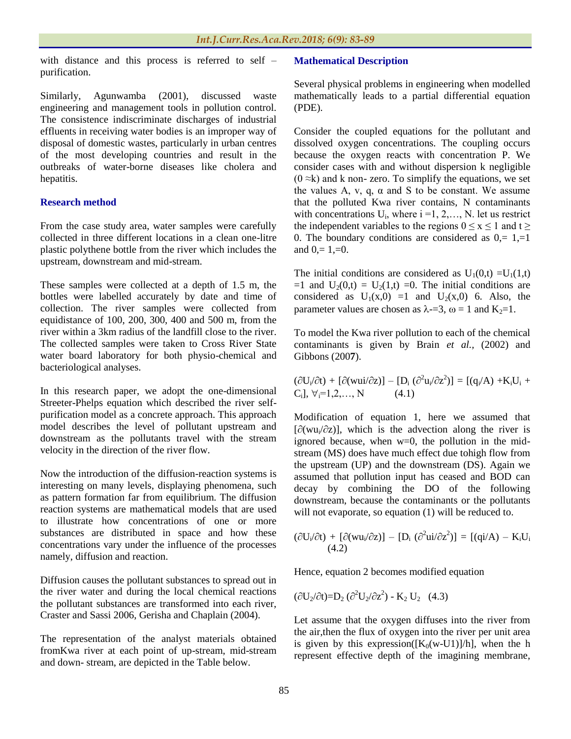with distance and this process is referred to self – purification.

Similarly, Agunwamba (2001), discussed waste engineering and management tools in pollution control. The consistence indiscriminate discharges of industrial effluents in receiving water bodies is an improper way of disposal of domestic wastes, particularly in urban centres of the most developing countries and result in the outbreaks of water-borne diseases like cholera and hepatitis.

### **Research method**

From the case study area, water samples were carefully collected in three different locations in a clean one-litre plastic polythene bottle from the river which includes the upstream, downstream and mid-stream.

These samples were collected at a depth of 1.5 m, the bottles were labelled accurately by date and time of collection. The river samples were collected from equidistance of 100, 200, 300, 400 and 500 m, from the river within a 3km radius of the landfill close to the river. The collected samples were taken to Cross River State water board laboratory for both physio-chemical and bacteriological analyses.

In this research paper, we adopt the one-dimensional Streeter-Phelps equation which described the river selfpurification model as a concrete approach. This approach model describes the level of pollutant upstream and downstream as the pollutants travel with the stream velocity in the direction of the river flow.

Now the introduction of the diffusion-reaction systems is interesting on many levels, displaying phenomena, such as pattern formation far from equilibrium. The diffusion reaction systems are mathematical models that are used to illustrate how concentrations of one or more substances are distributed in space and how these concentrations vary under the influence of the processes namely, diffusion and reaction.

Diffusion causes the pollutant substances to spread out in the river water and during the local chemical reactions the pollutant substances are transformed into each river, Craster and Sassi 2006, Gerisha and Chaplain (2004).

The representation of the analyst materials obtained fromKwa river at each point of up-stream, mid-stream and down- stream, are depicted in the Table below.

#### **Mathematical Description**

Several physical problems in engineering when modelled mathematically leads to a partial differential equation (PDE).

Consider the coupled equations for the pollutant and dissolved oxygen concentrations. The coupling occurs because the oxygen reacts with concentration P. We consider cases with and without dispersion k negligible  $(0 \approx k)$  and k non-zero. To simplify the equations, we set the values A, v, q,  $\alpha$  and S to be constant. We assume that the polluted Kwa river contains, N contaminants with concentrations  $U_i$ , where  $i = 1, 2, \ldots, N$ . let us restrict the independent variables to the regions  $0 \le x \le 1$  and  $t \ge$ 0. The boundary conditions are considered as  $0 = 1, =1$ and  $0 = 1 = 0$ .

The initial conditions are considered as  $U_1(0,t) = U_1(1,t)$  $=1$  and  $U_2(0,t) = U_2(1,t) = 0$ . The initial conditions are considered as  $U_1(x,0) =1$  and  $U_2(x,0)$  6. Also, the parameter values are chosen as  $\lambda$ -=3,  $\omega$  = 1 and K<sub>2</sub>=1.

To model the Kwa river pollution to each of the chemical contaminants is given by Brain *et al.,* (2002) and Gibbons (200**7**).

$$
(\partial U_i/\partial t) + [\partial (wui/\partial z)] - [D_i (\partial^2 u_i/\partial z^2)] = [(q_i/A) + K_iU_i + C_i], \forall i=1,2,...,N
$$
 (4.1)

Modification of equation 1, here we assumed that  $[\partial(wu_i/\partial z)]$ , which is the advection along the river is ignored because, when w=0, the pollution in the midstream (MS) does have much effect due tohigh flow from the upstream (UP) and the downstream (DS). Again we assumed that pollution input has ceased and BOD can decay by combining the DO of the following downstream, because the contaminants or the pollutants will not evaporate, so equation (1) will be reduced to.

$$
(\partial U_i/\partial t) + [\partial (wu_i/\partial z)] - [D_i (\partial^2 ui/\partial z^2)] = [(qi/A) - K_iU_i
$$
\n(4.2)

Hence, equation 2 becomes modified equation

$$
(\partial U_2 / \partial t) = D_2 (\partial^2 U_2 / \partial z^2) - K_2 U_2
$$
 (4.3)

Let assume that the oxygen diffuses into the river from the air,then the flux of oxygen into the river per unit area is given by this expression( $[K_0(w-U1)]/h$ ], when the h represent effective depth of the imagining membrane,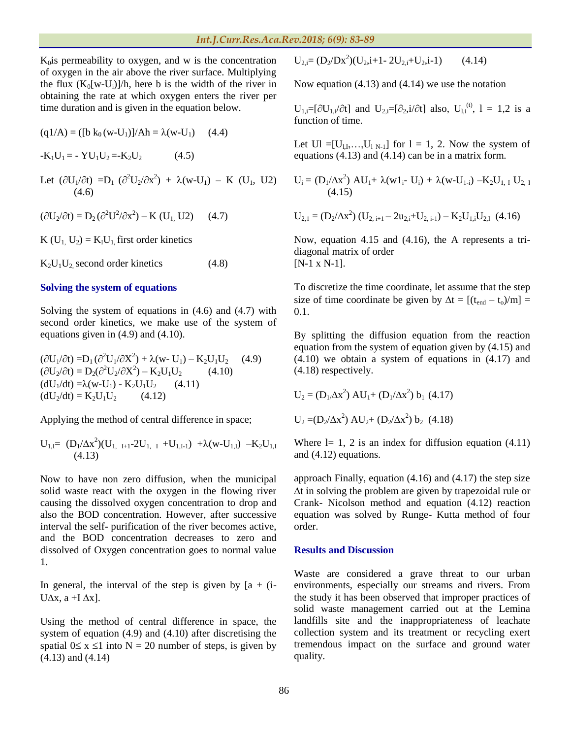$K<sub>0</sub>$ is permeability to oxygen, and w is the concentration of oxygen in the air above the river surface. Multiplying the flux  $(K_0[w-U_i)]/h$ , here b is the width of the river in obtaining the rate at which oxygen enters the river per time duration and is given in the equation below.

$$
(q1/A) = ([b k0 (w-U1)]/Ah = \lambda (w-U1) (4.4)
$$

 $-K_1U_1 = -YU_1U_2 = -K_2U_2$  (4.5)

Let  $(\partial U_1/\partial t) = D_1 (\partial^2 U_2/\partial x^2) + \lambda (w-U_1) - K (U_1, U2)$  $(4.6)$ 

$$
(\partial U_2/\partial t) = D_2 (\partial^2 U^2/\partial x^2) - K (U_1, U2) \qquad (4.7)
$$

K ( $U_1$ ,  $U_2$ ) = K<sub>I</sub>U<sub>1</sub>, first order kinetics

 $K_2U_1U_2$  second order kinetics (4.8)

### **Solving the system of equations**

Solving the system of equations in (4.6) and (4.7) with second order kinetics, we make use of the system of equations given in (4.9) and (4.10).

$$
(\partial U_1 / \partial t) = D_1 (\partial^2 U_1 / \partial X^2) + \lambda (w - U_1) - K_2 U_1 U_2 \quad (4.9)
$$
  
\n
$$
(\partial U_2 / \partial t) = D_2 (\partial^2 U_2 / \partial X^2) - K_2 U_1 U_2 \quad (4.10)
$$
  
\n
$$
(dU_1 / dt) = \lambda (w - U_1) - K_2 U_1 U_2 \quad (4.11)
$$
  
\n
$$
(dU_2 / dt) = K_2 U_1 U_2 \quad (4.12)
$$

Applying the method of central difference in space;

$$
U_{1,I} = (D_1/\Delta x^2)(U_{1, I+1} - 2U_{1, I} + U_{1,I-1}) + \lambda (w - U_{1,I}) - K_2 U_{1,I} \tag{4.13}
$$

Now to have non zero diffusion, when the municipal solid waste react with the oxygen in the flowing river causing the dissolved oxygen concentration to drop and also the BOD concentration. However, after successive interval the self- purification of the river becomes active, and the BOD concentration decreases to zero and dissolved of Oxygen concentration goes to normal value 1.

In general, the interval of the step is given by  $[a + (i-)$ U $\Delta$ x, a +I $\Delta$ x].

Using the method of central difference in space, the system of equation (4.9) and (4.10) after discretising the spatial  $0 \le x \le 1$  into N = 20 number of steps, is given by (4.13) and (4.14)

 $U_{2,i} = (D_2/Dx^2)(U_2,i+1-2U_{2,i}+U_2,i-1)$  (4.14)

Now equation (4.13) and (4.14) we use the notation

 $U_{1,i} = [\partial U_{1,i}/\partial t]$  and  $U_{2,i} = [\partial_2, i/\partial t]$  also,  $U_{1,i}^{(t)}$ ,  $1 = 1,2$  is a function of time.

Let Ul =[ $U_{l,I},...,U_{l N-1}$ ] for  $l = 1, 2$ . Now the system of equations (4.13) and (4.14) can be in a matrix form.

$$
U_i = (D_1/\Delta x^2) AU_1 + \lambda (w1_i - U_i) + \lambda (w-U_{1-i}) - K_2U_{1, I} U_{2, I}
$$
  
(4.15)

$$
U_{2,1} = (D_2/\Delta x^2) (U_{2, i+1} - 2u_{2,i} + U_{2, i-1}) - K_2 U_{1,i} U_{2,1} (4.16)
$$

Now, equation 4.15 and (4.16), the A represents a tridiagonal matrix of order [N-1 x N-1].

To discretize the time coordinate, let assume that the step size of time coordinate be given by  $\Delta t = [(t_{end} - t_o)/m] =$ 0.1.

By splitting the diffusion equation from the reaction equation from the system of equation given by (4.15) and (4.10) we obtain a system of equations in (4.17) and (4.18) respectively.

$$
U_2 = (D_1/\Delta x^2) AU_1 + (D_1/\Delta x^2) b_1 (4.17)
$$
  

$$
U_2 = (D_2/\Delta x^2) AU_2 + (D_2/\Delta x^2) b_2 (4.18)
$$

Where  $l= 1, 2$  is an index for diffusion equation (4.11) and (4.12) equations.

approach Finally, equation (4.16) and (4.17) the step size  $\Delta t$  in solving the problem are given by trapezoidal rule or Crank- Nicolson method and equation (4.12) reaction equation was solved by Runge- Kutta method of four order.

### **Results and Discussion**

Waste are considered a grave threat to our urban environments, especially our streams and rivers. From the study it has been observed that improper practices of solid waste management carried out at the Lemina landfills site and the inappropriateness of leachate collection system and its treatment or recycling exert tremendous impact on the surface and ground water quality.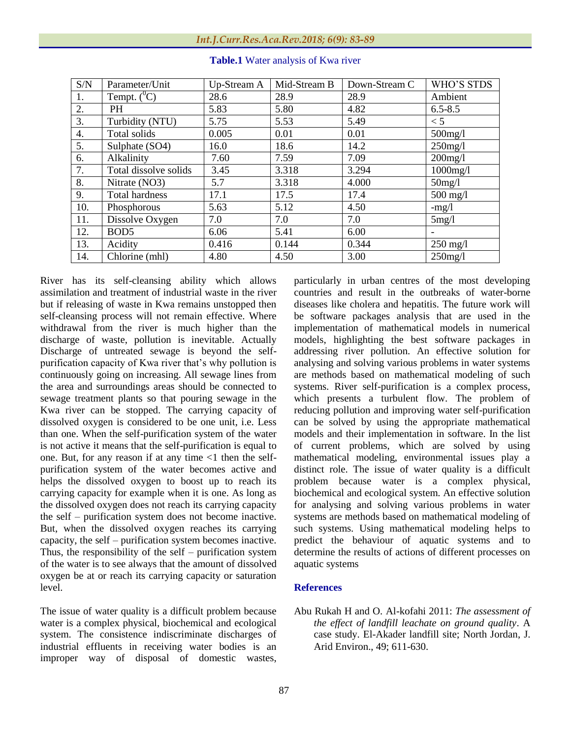| S/N | Parameter/Unit        | Up-Stream A | Mid-Stream B | Down-Stream C | WHO'S STDS  |
|-----|-----------------------|-------------|--------------|---------------|-------------|
| 1.  | Tempt. $(^0C)$        | 28.6        | 28.9         | 28.9          | Ambient     |
| 2.  | <b>PH</b>             | 5.83        | 5.80         | 4.82          | $6.5 - 8.5$ |
| 3.  | Turbidity (NTU)       | 5.75        | 5.53         | 5.49          | $\lt$ 5     |
| 4.  | Total solids          | 0.005       | 0.01         | 0.01          | $500$ mg/l  |
| 5.  | Sulphate (SO4)        | 16.0        | 18.6         | 14.2          | $250$ mg/l  |
| 6.  | Alkalinity            | 7.60        | 7.59         | 7.09          | $200$ mg/l  |
| 7.  | Total dissolve solids | 3.45        | 3.318        | 3.294         | $1000$ mg/l |
| 8.  | Nitrate (NO3)         | 5.7         | 3.318        | 4.000         | $50$ mg/l   |
| 9.  | <b>Total hardness</b> | 17.1        | 17.5         | 17.4          | $500$ mg/l  |
| 10. | Phosphorous           | 5.63        | 5.12         | 4.50          | $-mg/l$     |
| 11. | Dissolve Oxygen       | 7.0         | 7.0          | 7.0           | 5mg/l       |
| 12. | BOD <sub>5</sub>      | 6.06        | 5.41         | 6.00          |             |
| 13. | Acidity               | 0.416       | 0.144        | 0.344         | $250$ mg/l  |
| 14. | Chlorine (mhl)        | 4.80        | 4.50         | 3.00          | $250$ mg/l  |

**Table.1** Water analysis of Kwa river

River has its self-cleansing ability which allows assimilation and treatment of industrial waste in the river but if releasing of waste in Kwa remains unstopped then self-cleansing process will not remain effective. Where withdrawal from the river is much higher than the discharge of waste, pollution is inevitable. Actually Discharge of untreated sewage is beyond the selfpurification capacity of Kwa river that's why pollution is continuously going on increasing. All sewage lines from the area and surroundings areas should be connected to sewage treatment plants so that pouring sewage in the Kwa river can be stopped. The carrying capacity of dissolved oxygen is considered to be one unit, i.e. Less than one. When the self-purification system of the water is not active it means that the self-purification is equal to one. But, for any reason if at any time  $\langle 1 \rangle$  then the selfpurification system of the water becomes active and helps the dissolved oxygen to boost up to reach its carrying capacity for example when it is one. As long as the dissolved oxygen does not reach its carrying capacity the self – purification system does not become inactive. But, when the dissolved oxygen reaches its carrying capacity, the self – purification system becomes inactive. Thus, the responsibility of the self – purification system of the water is to see always that the amount of dissolved oxygen be at or reach its carrying capacity or saturation level.

The issue of water quality is a difficult problem because water is a complex physical, biochemical and ecological system. The consistence indiscriminate discharges of industrial effluents in receiving water bodies is an improper way of disposal of domestic wastes, particularly in urban centres of the most developing countries and result in the outbreaks of water-borne diseases like cholera and hepatitis. The future work will be software packages analysis that are used in the implementation of mathematical models in numerical models, highlighting the best software packages in addressing river pollution. An effective solution for analysing and solving various problems in water systems are methods based on mathematical modeling of such systems. River self-purification is a complex process, which presents a turbulent flow. The problem of reducing pollution and improving water self-purification can be solved by using the appropriate mathematical models and their implementation in software. In the list of current problems, which are solved by using mathematical modeling, environmental issues play a distinct role. The issue of water quality is a difficult problem because water is a complex physical, biochemical and ecological system. An effective solution for analysing and solving various problems in water systems are methods based on mathematical modeling of such systems. Using mathematical modeling helps to predict the behaviour of aquatic systems and to determine the results of actions of different processes on aquatic systems

#### **References**

Abu Rukah H and O. Al-kofahi 2011: *The assessment of the effect of landfill leachate on ground quality*. A case study. El-Akader landfill site; North Jordan, J. Arid Environ., 49; 611-630.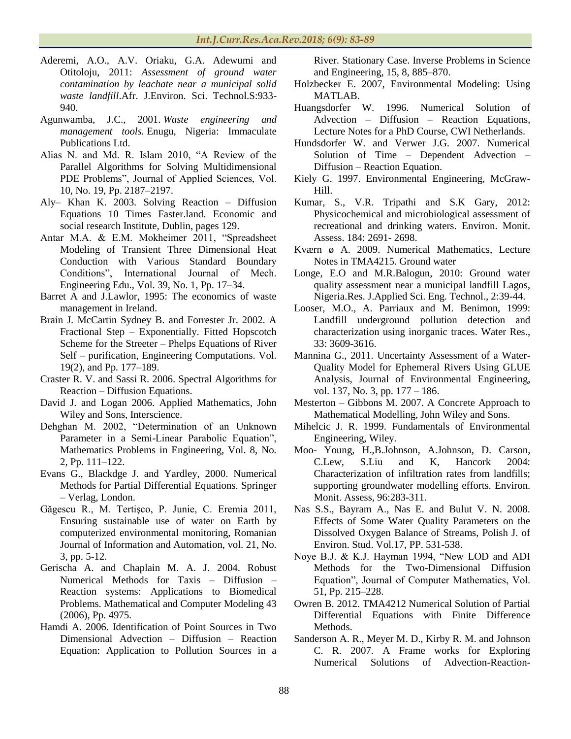- Aderemi, A.O., A.V. Oriaku, G.A. Adewumi and Otitoloju, 2011: *Assessment of ground water contamination by leachate near a municipal solid waste landfill*.Afr. J.Environ. Sci. Technol.S:933- 940.
- Agunwamba, J.C., 2001. *Waste engineering and management tools.* Enugu, Nigeria: Immaculate Publications Ltd.
- Alias N. and Md. R. Islam 2010, "A Review of the Parallel Algorithms for Solving Multidimensional PDE Problems", Journal of Applied Sciences, Vol. 10, No. 19, Pp. 2187–2197.
- Aly– Khan K. 2003. Solving Reaction Diffusion Equations 10 Times Faster.land. Economic and social research Institute, Dublin, pages 129.
- Antar M.A. & E.M. Mokheimer 2011, "Spreadsheet Modeling of Transient Three Dimensional Heat Conduction with Various Standard Boundary Conditions", International Journal of Mech. Engineering Edu., Vol. 39, No. 1, Pp. 17–34.
- Barret A and J.Lawlor, 1995: The economics of waste management in Ireland.
- Brain J. McCartin Sydney B. and Forrester Jr. 2002. A Fractional Step – Exponentially. Fitted Hopscotch Scheme for the Streeter – Phelps Equations of River Self – purification, Engineering Computations. Vol. 19(2), and Pp. 177–189.
- Craster R. V. and Sassi R. 2006. Spectral Algorithms for Reaction – Diffusion Equations.
- David J. and Logan 2006. Applied Mathematics, John Wiley and Sons, Interscience.
- Dehghan M. 2002, "Determination of an Unknown Parameter in a Semi-Linear Parabolic Equation", Mathematics Problems in Engineering, Vol. 8, No. 2, Pp. 111–122.
- Evans G., Blackdge J. and Yardley, 2000. Numerical Methods for Partial Differential Equations. Springer – Verlag, London.
- Găgescu R., M. Tertişco, P. Junie, C. Eremia 2011, Ensuring sustainable use of water on Earth by computerized environmental monitoring, Romanian Journal of Information and Automation, vol. 21, No. 3, pp. 5-12.
- Gerischa A. and Chaplain M. A. J. 2004. Robust Numerical Methods for Taxis – Diffusion – Reaction systems: Applications to Biomedical Problems. Mathematical and Computer Modeling 43 (2006), Pp. 4975.
- Hamdi A. 2006. Identification of Point Sources in Two Dimensional Advection – Diffusion – Reaction Equation: Application to Pollution Sources in a

River. Stationary Case. Inverse Problems in Science and Engineering, 15, 8, 885–870.

- Holzbecker E. 2007, Environmental Modeling: Using MATLAB.
- Huangsdorfer W. 1996. Numerical Solution of Advection – Diffusion – Reaction Equations, Lecture Notes for a PhD Course, CWI Netherlands.
- Hundsdorfer W. and Verwer J.G. 2007. Numerical Solution of Time – Dependent Advection – Diffusion – Reaction Equation.
- Kiely G. 1997. Environmental Engineering, McGraw-Hill.
- Kumar, S., V.R. Tripathi and S.K Gary, 2012: Physicochemical and microbiological assessment of recreational and drinking waters. Environ. Monit. Assess. 184: 2691- 2698.
- Kværn ø A. 2009. Numerical Mathematics, Lecture Notes in TMA4215. Ground water
- Longe, E.O and M.R.Balogun, 2010: Ground water quality assessment near a municipal landfill Lagos, Nigeria.Res. J.Applied Sci. Eng. Technol., 2:39-44.
- Looser, M.O., A. Parriaux and M. Benimon, 1999: Landfill underground pollution detection and characterization using inorganic traces. Water Res., 33: 3609-3616.
- Mannina G., 2011. Uncertainty Assessment of a Water-Quality Model for Ephemeral Rivers Using GLUE Analysis, Journal of Environmental Engineering, vol. 137, No. 3, pp. 177 – 186.
- Mesterton Gibbons M. 2007. A Concrete Approach to Mathematical Modelling, John Wiley and Sons.
- Mihelcic J. R. 1999. Fundamentals of Environmental Engineering, Wiley.
- Moo- Young, H.,B.Johnson, A.Johnson, D. Carson, C.Lew, S.Liu and K, Hancork 2004: Characterization of infiltration rates from landfills; supporting groundwater modelling efforts. Environ. Monit. Assess, 96:283-311.
- Nas S.S., Bayram A., Nas E. and Bulut V. N. 2008. Effects of Some Water Quality Parameters on the Dissolved Oxygen Balance of Streams, Polish J. of Environ. Stud. Vol.17, PP. 531-538.
- Noye B.J. & K.J. Hayman 1994, "New LOD and ADI Methods for the Two-Dimensional Diffusion Equation", Journal of Computer Mathematics, Vol. 51, Pp. 215–228.
- Owren B. 2012. TMA4212 Numerical Solution of Partial Differential Equations with Finite Difference Methods.
- Sanderson A. R., Meyer M. D., Kirby R. M. and Johnson C. R. 2007. A Frame works for Exploring Numerical Solutions of Advection-Reaction-